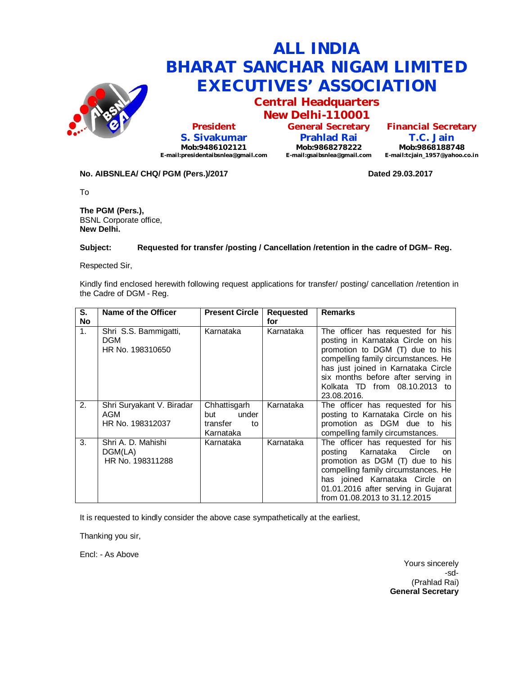

# **ALL INDIA BHARAT SANCHAR NIGAM LIMITED EXECUTIVES' ASSOCIATION**

**Central Headquarters New Delhi-110001**

**President S. Sivakumar Mob:9486102121 E-mail:presidentaibsnlea@gmail.com**

**General Secretary Prahlad Rai Mob:9868278222 E-mail:gsaibsnlea@gmail.com**

**Financial Secretary T.C. Jain Mob:9868188748 E-mail:tcjain\_1957@yahoo.co.in**

**No. AIBSNLEA/ CHQ/ PGM (Pers.)/2017 Dated 29.03.2017**

To

**The PGM (Pers.),** BSNL Corporate office, **New Delhi.**

#### **Subject: Requested for transfer /posting / Cancellation /retention in the cadre of DGM– Reg.**

Respected Sir,

Kindly find enclosed herewith following request applications for transfer/ posting/ cancellation /retention in the Cadre of DGM - Reg.

| S.              | Name of the Officer                                         | <b>Present Circle</b>                                       | Requested        | <b>Remarks</b>                                                                                                                                                                                                                                                                 |
|-----------------|-------------------------------------------------------------|-------------------------------------------------------------|------------------|--------------------------------------------------------------------------------------------------------------------------------------------------------------------------------------------------------------------------------------------------------------------------------|
| <b>No</b><br>1. | Shri S.S. Bammigatti,<br><b>DGM</b><br>HR No. 198310650     | Karnataka                                                   | for<br>Karnataka | The officer has requested for his<br>posting in Karnataka Circle on his<br>promotion to DGM (T) due to his<br>compelling family circumstances. He<br>has just joined in Karnataka Circle<br>six months before after serving in<br>Kolkata TD from 08.10.2013 to<br>23.08.2016. |
| 2.              | Shri Suryakant V. Biradar<br><b>AGM</b><br>HR No. 198312037 | Chhattisgarh<br>under<br>but<br>transfer<br>to<br>Karnataka | Karnataka        | The officer has requested for his<br>posting to Karnataka Circle on his<br>promotion as DGM due to his<br>compelling family circumstances.                                                                                                                                     |
| 3.              | Shri A. D. Mahishi<br>DGM(LA)<br>HR No. 198311288           | Karnataka                                                   | Karnataka        | The officer has requested for his<br>Karnataka Circle<br>posting<br>on<br>promotion as DGM (T) due to his<br>compelling family circumstances. He<br>has joined Karnataka Circle on<br>01.01.2016 after serving in Gujarat<br>from 01.08.2013 to 31.12.2015                     |

It is requested to kindly consider the above case sympathetically at the earliest,

Thanking you sir,

Encl: - As Above

Yours sincerely -sd- (Prahlad Rai) **General Secretary**